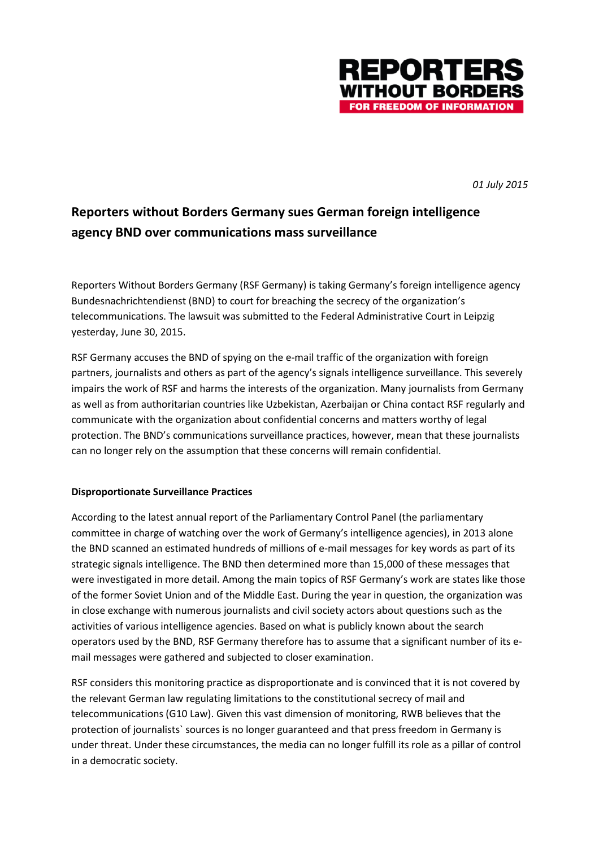

*01 July 2015* 

# **Reporters without Borders Germany sues German foreign intelligence agency BND over communications mass surveillance**

Reporters Without Borders Germany (RSF Germany) is taking Germany's foreign intelligence agency Bundesnachrichtendienst (BND) to court for breaching the secrecy of the organization's telecommunications. The lawsuit was submitted to the Federal Administrative Court in Leipzig yesterday, June 30, 2015.

RSF Germany accuses the BND of spying on the e-mail traffic of the organization with foreign partners, journalists and others as part of the agency's signals intelligence surveillance. This severely impairs the work of RSF and harms the interests of the organization. Many journalists from Germany as well as from authoritarian countries like Uzbekistan, Azerbaijan or China contact RSF regularly and communicate with the organization about confidential concerns and matters worthy of legal protection. The BND's communications surveillance practices, however, mean that these journalists can no longer rely on the assumption that these concerns will remain confidential.

## **Disproportionate Surveillance Practices**

According to the latest annual report of the Parliamentary Control Panel (the parliamentary committee in charge of watching over the work of Germany's intelligence agencies), in 2013 alone the BND scanned an estimated hundreds of millions of e-mail messages for key words as part of its strategic signals intelligence. The BND then determined more than 15,000 of these messages that were investigated in more detail. Among the main topics of RSF Germany's work are states like those of the former Soviet Union and of the Middle East. During the year in question, the organization was in close exchange with numerous journalists and civil society actors about questions such as the activities of various intelligence agencies. Based on what is publicly known about the search operators used by the BND, RSF Germany therefore has to assume that a significant number of its email messages were gathered and subjected to closer examination.

RSF considers this monitoring practice as disproportionate and is convinced that it is not covered by the relevant German law regulating limitations to the constitutional secrecy of mail and telecommunications (G10 Law). Given this vast dimension of monitoring, RWB believes that the protection of journalists` sources is no longer guaranteed and that press freedom in Germany is under threat. Under these circumstances, the media can no longer fulfill its role as a pillar of control in a democratic society.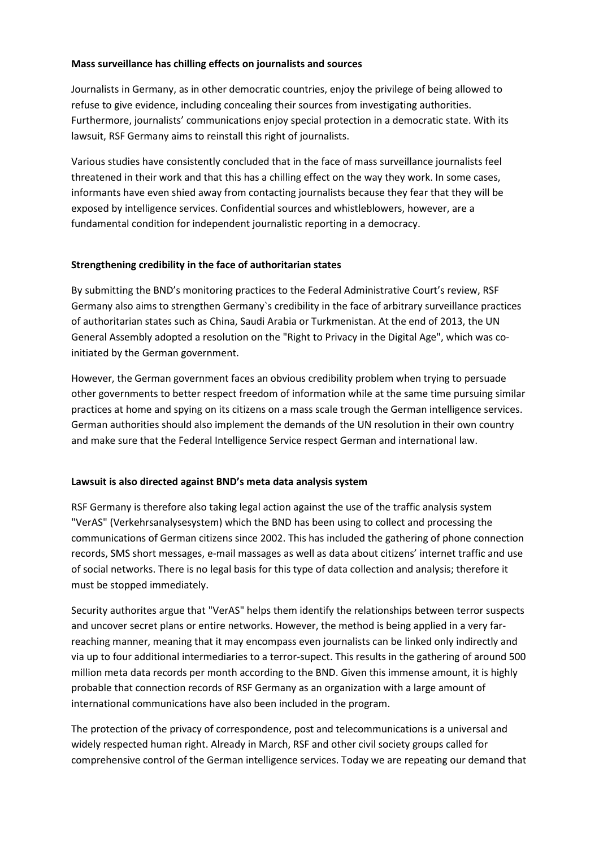### **Mass surveillance has chilling effects on journalists and sources**

Journalists in Germany, as in other democratic countries, enjoy the privilege of being allowed to refuse to give evidence, including concealing their sources from investigating authorities. Furthermore, journalists' communications enjoy special protection in a democratic state. With its lawsuit, RSF Germany aims to reinstall this right of journalists.

Various studies have consistently concluded that in the face of mass surveillance journalists feel threatened in their work and that this has a chilling effect on the way they work. In some cases, informants have even shied away from contacting journalists because they fear that they will be exposed by intelligence services. Confidential sources and whistleblowers, however, are a fundamental condition for independent journalistic reporting in a democracy.

### **Strengthening credibility in the face of authoritarian states**

By submitting the BND's monitoring practices to the Federal Administrative Court's review, RSF Germany also aims to strengthen Germany`s credibility in the face of arbitrary surveillance practices of authoritarian states such as China, Saudi Arabia or Turkmenistan. At the end of 2013, the UN General Assembly adopted a resolution on the "Right to Privacy in the Digital Age", which was coinitiated by the German government.

However, the German government faces an obvious credibility problem when trying to persuade other governments to better respect freedom of information while at the same time pursuing similar practices at home and spying on its citizens on a mass scale trough the German intelligence services. German authorities should also implement the demands of the UN resolution in their own country and make sure that the Federal Intelligence Service respect German and international law.

## **Lawsuit is also directed against BND's meta data analysis system**

RSF Germany is therefore also taking legal action against the use of the traffic analysis system "VerAS" (Verkehrsanalysesystem) which the BND has been using to collect and processing the communications of German citizens since 2002. This has included the gathering of phone connection records, SMS short messages, e-mail massages as well as data about citizens' internet traffic and use of social networks. There is no legal basis for this type of data collection and analysis; therefore it must be stopped immediately.

Security authorites argue that "VerAS" helps them identify the relationships between terror suspects and uncover secret plans or entire networks. However, the method is being applied in a very farreaching manner, meaning that it may encompass even journalists can be linked only indirectly and via up to four additional intermediaries to a terror-supect. This results in the gathering of around 500 million meta data records per month according to the BND. Given this immense amount, it is highly probable that connection records of RSF Germany as an organization with a large amount of international communications have also been included in the program.

The protection of the privacy of correspondence, post and telecommunications is a universal and widely respected human right. Already in March, RSF and other civil society groups called for comprehensive control of the German intelligence services. Today we are repeating our demand that